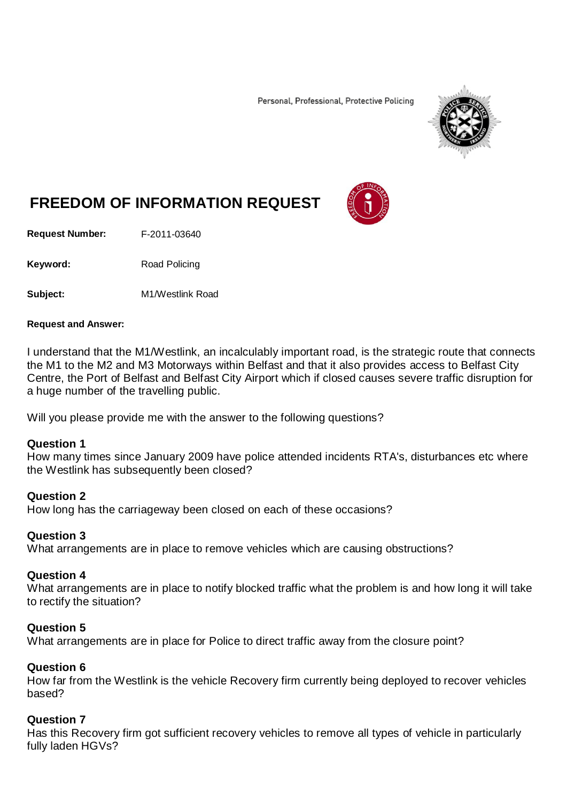Personal, Professional, Protective Policing



# **FREEDOM OF INFORMATION REQUEST**

**Request Number:** F-2011-03640

Keyword: Road Policing

**Subject:** M1/Westlink Road

#### **Request and Answer:**

I understand that the M1/Westlink, an incalculably important road, is the strategic route that connects the M1 to the M2 and M3 Motorways within Belfast and that it also provides access to Belfast City Centre, the Port of Belfast and Belfast City Airport which if closed causes severe traffic disruption for a huge number of the travelling public.

Will you please provide me with the answer to the following questions?

#### **Question 1**

How many times since January 2009 have police attended incidents RTA's, disturbances etc where the Westlink has subsequently been closed?

## **Question 2**

How long has the carriageway been closed on each of these occasions?

## **Question 3**

What arrangements are in place to remove vehicles which are causing obstructions?

#### **Question 4**

What arrangements are in place to notify blocked traffic what the problem is and how long it will take to rectify the situation?

## **Question 5**

What arrangements are in place for Police to direct traffic away from the closure point?

## **Question 6**

How far from the Westlink is the vehicle Recovery firm currently being deployed to recover vehicles based?

## **Question 7**

Has this Recovery firm got sufficient recovery vehicles to remove all types of vehicle in particularly fully laden HGVs?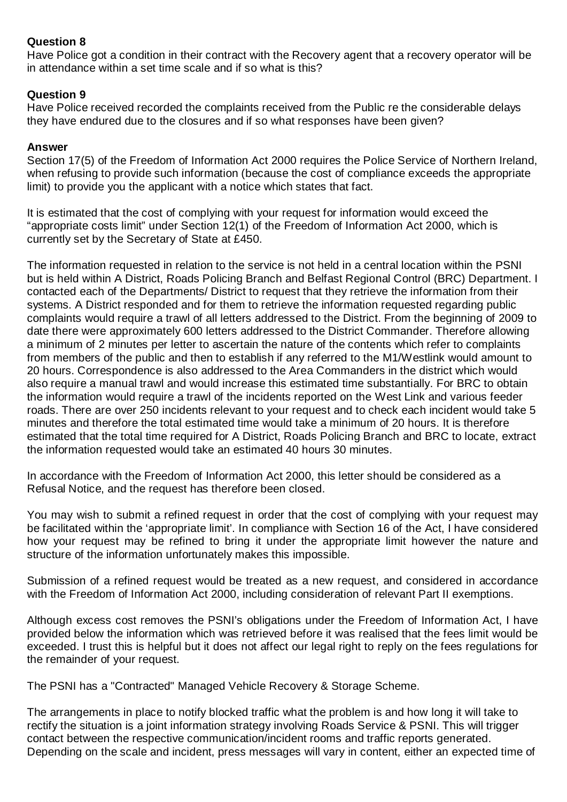# **Question 8**

Have Police got a condition in their contract with the Recovery agent that a recovery operator will be in attendance within a set time scale and if so what is this?

# **Question 9**

Have Police received recorded the complaints received from the Public re the considerable delays they have endured due to the closures and if so what responses have been given?

## **Answer**

Section 17(5) of the Freedom of Information Act 2000 requires the Police Service of Northern Ireland, when refusing to provide such information (because the cost of compliance exceeds the appropriate limit) to provide you the applicant with a notice which states that fact.

It is estimated that the cost of complying with your request for information would exceed the "appropriate costs limit" under Section 12(1) of the Freedom of Information Act 2000, which is currently set by the Secretary of State at £450.

The information requested in relation to the service is not held in a central location within the PSNI but is held within A District, Roads Policing Branch and Belfast Regional Control (BRC) Department. I contacted each of the Departments/ District to request that they retrieve the information from their systems. A District responded and for them to retrieve the information requested regarding public complaints would require a trawl of all letters addressed to the District. From the beginning of 2009 to date there were approximately 600 letters addressed to the District Commander. Therefore allowing a minimum of 2 minutes per letter to ascertain the nature of the contents which refer to complaints from members of the public and then to establish if any referred to the M1/Westlink would amount to 20 hours. Correspondence is also addressed to the Area Commanders in the district which would also require a manual trawl and would increase this estimated time substantially. For BRC to obtain the information would require a trawl of the incidents reported on the West Link and various feeder roads. There are over 250 incidents relevant to your request and to check each incident would take 5 minutes and therefore the total estimated time would take a minimum of 20 hours. It is therefore estimated that the total time required for A District, Roads Policing Branch and BRC to locate, extract the information requested would take an estimated 40 hours 30 minutes.

In accordance with the Freedom of Information Act 2000, this letter should be considered as a Refusal Notice, and the request has therefore been closed.

You may wish to submit a refined request in order that the cost of complying with your request may be facilitated within the 'appropriate limit'. In compliance with Section 16 of the Act, I have considered how your request may be refined to bring it under the appropriate limit however the nature and structure of the information unfortunately makes this impossible.

Submission of a refined request would be treated as a new request, and considered in accordance with the Freedom of Information Act 2000, including consideration of relevant Part II exemptions.

Although excess cost removes the PSNI's obligations under the Freedom of Information Act, I have provided below the information which was retrieved before it was realised that the fees limit would be exceeded. I trust this is helpful but it does not affect our legal right to reply on the fees regulations for the remainder of your request.

The PSNI has a "Contracted" Managed Vehicle Recovery & Storage Scheme.

The arrangements in place to notify blocked traffic what the problem is and how long it will take to rectify the situation is a joint information strategy involving Roads Service & PSNI. This will trigger contact between the respective communication/incident rooms and traffic reports generated. Depending on the scale and incident, press messages will vary in content, either an expected time of